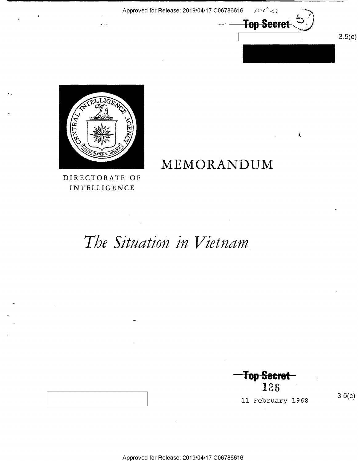Approved for Release: 2019/04/17 C06786616 //

 $L$   $\rightarrow$   $\rightarrow$ **Top Secret** 

 $\zeta$ 



 $\mathbf{L}$ 

# MEMORANDUM

INTELLIGENCE

### The Situation in Vietnam

w-

 $\longrightarrow$ Top Secret $\equiv$ 126 M

ll February 1968

 $3.5(c)$ 

 $3.5(c)$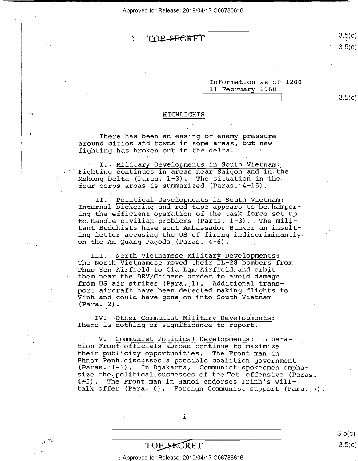

 $3.5(c)$ 

 $3.5(c)$ 

Information as of 1200 ll February 1968

 $3.5(c)$ 

#### HIGHLI GHTS

There has been an easing of enemy pressure around cities and-towns in some areas, but new fighting has broken out in the delta.

I. Military Developments in South Vietnam:<br>Fighting continues in areas near Saigon and in the Mekong Delta (Paras.  $1-3$ ). The situation in the four corps areas is summarized (Paras. 4-15)..

Political Developments in South Vietnam: II. Political Developments in South Vietnam:<br>Internal bickering and red tape appears to be hampering the efficient operation of the task force set up to handle civilian problems (Paras.  $1-3$ ). The militant Buddhists have sent Ambassador Bunker an insulting letter accusing the US of firing indiscriminantlyon the An Quang Pagoda (Paras. 4-6).

III. North Vietnamese Military Developments: The North Vietnamese moved their IL-28 bombers from<br>Phuc Yen Airfield to Gia Lam Airfield and orbit them near the DRV/Chinese border to avoid damage from US air strikes (Para. 1). Additional transport aircraft have been detected making flights to Vinh and could have gone on into South Vietnam  $(Para. 2)$ .

Other Communist Military Developments: There is nothing of significance to report.

V. Communist Political Developments: Liberation Front officials abroad continue to maximize<br>their publicity opportunities. The Front man in Phnom Penh discusses a possible coalition government (Paras. 1-3). In Djakarta, Communist spokesmen emphasize the political successes of the Tet offensive (Paras. 4-5). The Front man in Hanoi endorses Trinh's willtalk offer (Para. 6). Foreign Communist support (Para. 7).

i

 $3.5(c)$  $TOP\_SECTION$  3.5(c)

Approved for Release: 2019/04/17 C06786616

 $\mathbb{R}^n$  and  $\mathbb{R}^n$  and  $\mathbb{R}^n$  and  $\mathbb{R}^n$  and  $\mathbb{R}^n$  and  $\mathbb{R}^n$  and  $\mathbb{R}^n$  and  $\mathbb{R}^n$  and  $\mathbb{R}^n$  and  $\mathbb{R}^n$  and  $\mathbb{R}^n$  and  $\mathbb{R}^n$  and  $\mathbb{R}^n$  and  $\mathbb{R}^n$  and  $\mathbb{R}^n$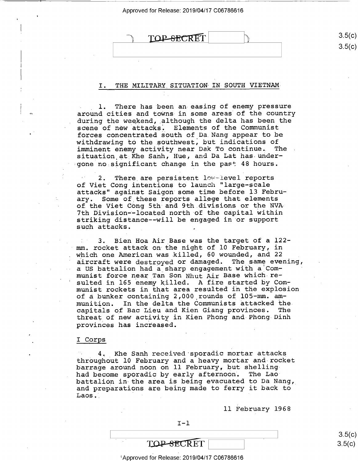|  | TOP-SECRET |  |
|--|------------|--|
|  |            |  |

#### I. THE MILITARY SITUATION IN SOUTH VIETNAM-

1. There has been an easing of enemy pressure around cities and towns in some areas of the country during the weekend, although the delta has been the scene of new attacks. Elements of the Communist forces concentrated south of Da Nang appear to be withdrawing to the southwest, but indications of imminent enemy activity near Dak To continue. The situation at Khe Sanh, Hue, and Da Lat has undergone no significant change in the past 48 hours.

2. There are persistent low-level reports of Viet Cong intentions to launch "large-scale attacks" against Saigon some time before 13 February. Some of these reports allege that elements of the Viet Cong 5th and 9th.divisions or the NVA-7th Division--located north of the capital within striking distance--will be engaged in or support such attacks.

3. Bien Hoa Air Base was the target of a 122mm. rocket attack on the night of l0 February, in which one American was killed, 60 wounded, and 22 aircraft were destroyed or damaged. The same evening, a US battalion had a sharp engagement with a Communist force near Tan Son Nhut Air Base which resulted in 165 enemy killed. A fire started by Communist rockets in that area resulted in the explosion of a bunker containing 2,000'rounds of lO5—mm. ammunition. In the delta the Communists attacked thecapitals of Bac Lieu and Kien Giang provinces. The threat of new activity in Kien Phong and Phong-Dinh provinces has increased.

#### I Corps

4. Khe Sanh received sporadic mortar attacks throughout l0 February and a heavy mortar and-rocket barrage around noon on ll February, but shellinghad become sporadic by early afternoon. battalion in the area is being evacuated to Da Nang, and preparations are being made to ferry it back to  $Laos.1$ 

ll February 1968

**TOP-SECRET** 

 $3$ Approved for Release: 2019/04/17 C06786616

 $\frac{1}{2}$   $\frac{1}{2}$   $\frac{1}{2}$   $\frac{1}{2}$   $\frac{1}{2}$   $\frac{1}{2}$   $\frac{1}{2}$   $\frac{1}{2}$   $\frac{1}{2}$   $\frac{1}{2}$   $\frac{1}{2}$   $\frac{1}{2}$   $\frac{1}{2}$   $\frac{1}{2}$   $\frac{1}{2}$   $\frac{1}{2}$   $\frac{1}{2}$   $\frac{1}{2}$   $\frac{1}{2}$   $\frac{1}{2}$   $\frac{1}{2}$   $\frac{1}{2}$   $3.5(c)$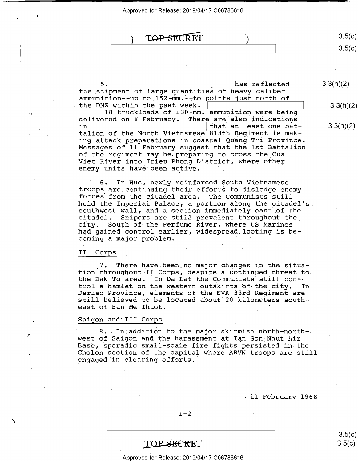| $\sim$ | TOP-SECRET |  | -51  |
|--------|------------|--|------|
|        |            |  | ו בי |

'5. has reflected  $3.3(h)(2)$ the shipment of large quantities of heavy caliber ammunition--up to 152-mm.--to points just north of the DMZ within the past week.  $\vert$  3.3(h)(2)

18 truckloads of 130-mm. ammunition were being delivered on 8 February. There are also indications<br>in in  $\vert$  in  $\vert$  that at least one bat-<br>talion of the North Vietnamese 8l3th Regiment is making attack preparations in coastal Quang Tri Province, Messages of 11 February suggest that the 1st Battalion<br>of the regiment may be preparing to cross the Cua Viet River into Trieu Phong District, where other. enemy units have been active.

6. In Hue, newly reinforced South Vietnamesetroops are continuing their efforts to dislodge enemy forces from the citadel area. The Communists still hold the Imperial Palace, a portion along the citadel's. southwest wall, and a section immediately east of the<br>citadel. Snipers are still prevalent throughout the citadel. Snipers are still prevalent throughout the<br>city. South of the Perfume River, where US Marines South of the Perfume River, where US Marines had gained control earlier, widespread.looting is becoming a major problem.  $\mathbf{r} = \mathbf{r} \cdot \mathbf{r}$ 

#### II Corps

7. There have been no major changes in the situa-<br>tion-throughout-II Corps, despite a continued-threat tothe Dak To area. In Da Lat the Communists still control a hamlet on the western outskirts of the city. In Darlac Province, elements of the NVA 33rd Regiment are still believed to be located about 20 kilometers southeast of Ban Me Thuot.

#### Saigon and III Corps

8. In addition to the major skirmish north-northwest of Saigon and the harassment at Tan Son Nhut Air<br>Base, sporadic small-scale fire fights persisted in the Cholon section of the capital where ARVN troops are still engaged in clearing efforts.

- ll February 1968

#### <sup>m</sup>8-5<c>

#### $3$  Approved for Release: 2019/04/17 C06786616

\ \ s.5(¢)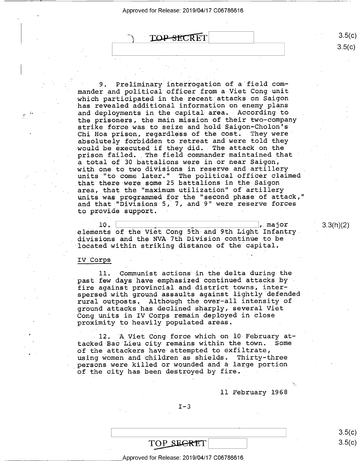$\text{TOP-SECRET}$  3.5(c)

Preliminary interrogation of a field commander and political officer from a Viet Cong-unit which participated in the recent attacks on Saigon has revealed additional information on enemy plans and deployments in the capital area. According to the prisoners, the main mission of their two-company strike force was to seize and hold Saigon-Cholon's Chi Hoa prison, regardless of the cost. They were absolutely forbidden to retreat and were told they would be executed if they did. The attack on the prison failed. The field commander maintained that <sup>a</sup>total of 30 battalions were in or near Saigon, with one to two divisions in reserve and artillery units "to come later." The political officer claimed that there were some 25 battalions in the Saigon area, that the "maximum utilization" of artillery units was programmed for the "second phase of attack," and that "Divisions 5, 7, and 9" were reserve forces to provide support.

 $10.$ ,  $\texttt{major}$ . elements of the Viet Cong 5th and 9th Light Infantry. divisions and the NVA 7th Division continue to be located within striking distance of the capital.

#### IV Corps

ll. Communist actions in the delta during the past few days have emphasized continued attacks by <sup>T</sup> fire against provincial and district towns, interspersed with ground assaults against lightly defended rural outposts, Although the over—all intensity of ground attacks has declined sharply, several Viet Cong units in IV Corps remain deployed in close proximity to heavily populated areas.

12. A Viet Cong force which on 10 February at-<br>d Bac Lieu city remains within the town. Some tacked Bac Lieu city remains within the town. of the attackers have attempted to exfiltrate, using women and children as shields. Thirty-three persons were killed or wounded and a large portion of the city has been destroyed by fire. - -

ll February 1968

4

 $I-3$ 

 $3.5(c)$  $\mathcal{L}(\mathbf{C})$ 

## $\frac{\text{TOP} \text{SEERT}}{\text{Approved for Release: } 2019/04/17 \text{ CO}6786616}$

 $3.3(h)(2)$ 

 $3.5(c)$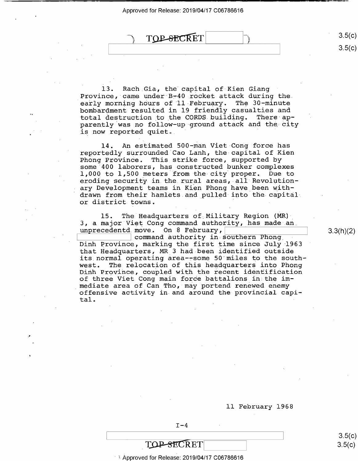

 $3.5(c)$  $3.5(c)$ 

 $- - -$ 

13. Rach Gia, the capital of Kien Giang Province, came under B-40 rocket attack during the early morning hours of 11 February. The 30-minute bombardment resulted in l9 friendly casualties and total destruction to the CORDS building. There apparently was no follow—up-ground attack and the city is now reported quiet.

l4. An estimated 500-man Viet Cong force has reportedly surrounded Cao Lanh, the capital of Kien<br>Phong Province. This strike force, supported by some 400 laborers, has constructed bunker complexes 1,000 to 1,500 meters from the-city proper. Due to eroding security in the rural areas, all Revolution-<br>ary Development teams in Kien Phong have been withdrawn from their hamlets and pulled into the capital or district towns.

15. The Headquarters of Military Region (MR) 3, a major Viet Cong command authority, has made an. unprecedentd.move. On 8 February,

command authority in southern Phong Dinh Province, marking the first time since July 1963 that Headquarters, MR\_3 had been identified outside its normal operating area--some 50 miles to the south-<br>west. The relocation of this headquarters into Phong The relocation of this headquarters into Phong Dinh Province, coupled with the recent identification of three Viet Cong main force battalions in the im-<br>mediate area of Can Tho, may portend renewed enemy offensive activity in and around the provincial capi-<br>tal. tal. The contract of the contract of the contract of the contract of the contract of the contract of the contract of the contract of the contract of the contract of the contract of the contract of the contract of the contr

3.3(h)(2)

 $3.5(c)$  $3.5(c)$ 

ll February l968

 $I-4$ 

 $\blacksquare$  . The contract of the contract of the contract of the contract of the contract of the contract of the contract of the contract of the contract of the contract of the contract of the contract of the contract of the

TOP-SECRET

Q

n

 $^{\circ}$   $^{\circ}$  Approved for Release: 2019/04/17 C06786616  $^{\circ}$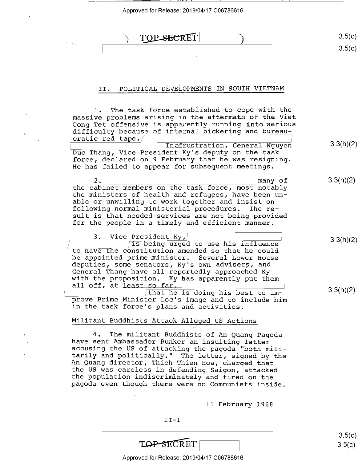$\overline{\phantom{a}}$  .

| TOP SPORTT<br>--<br>$-0.001$ |  |
|------------------------------|--|
|                              |  |

#### II. POLITICAL DEVELOPMENTS IN SOUTH VIETNAM

l. The task force established to cope with themassive problems arising in the aftermath of the Viet Cong Tet offensive is apparently running into serious difficulty because of internal bickering and bureaucratic red tape,/ /  $\overline{\text{Inafrustration}}$ , General Nguyen 3.3(h)(2) Duc Thang, Vice President Ky's deputy on the task force, declared on 9 February that he was resigning. He has failed to appear for subsequent meetings. 2. \ 'many of 3.3(h)(2) the cabinet members on the task force, most notably the ministers of health and refugees, have been un-<br>able or unwilling to work together and insist on following normal ministerial procedures. The result is that needed services are not being provided for the people in a timely and efficient manner. 3. Vice President  $Ky$ , /<br> $\sqrt{15}$  being urged to use his influence  $\frac{1}{2}$  is being urged to use his influence<br>to have the constitution amended so that he could be appointed prime minister. Several Lower House deputies, some senators, Ky's own advisers, and<br>General Thang have all reportedly approached Ky with the proposition. Ky has apparently put them all off, at least so far. I  $\frac{30 \text{ km}}{2}$  and  $\frac{1}{2}$  and  $\frac{1}{2}$  and  $\frac{1}{2}$  and  $\frac{1}{2}$  and  $\frac{3}{2}$ (h)(2) prove Prime Minister Loc's image and to include him in the task force's plans and activities.

#### Militant Buddhists Attack Alleged US Actions

4. The militant Buddhists of An Quang Pagoda<br>have sent Ambassador Bunker an insulting letter<br>accusing the US of attacking the pagoda "both mili-<br>tarily and politically." The letter, signed by the<br>An Quang director, Thich T

ll February 1968

3.3(h)(2)

 $II-1$ 

| $m \wedge r$<br>FT<br>$\sim$<br>. . |  |  |
|-------------------------------------|--|--|

Approved for Release: 2019/04/17 C06786616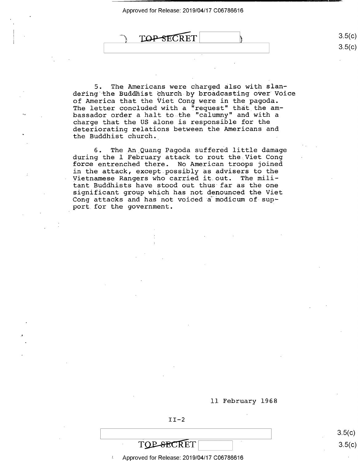TOP SECRET

5. The Americans were charged also with slandering the Buddhist church-by broadcasting over Voice of America that the Viet Cong were in the pagoda. The letter concluded with a "request" that the ambassador order a halt to the "calumny" and with a charge that the US alone is responsible for the deteriorating relations between the Americans and the Buddhist church. .

6. The\_An\_Quang Pagoda suffered little damage during the l February attack to rout the Viet Cong force entrenched there. No American troops joined in the attack, except possibly as advisers to the Vietnamese Rangers who carried it.out. The militant Buddhists have stood out thus far as the one significant group which has not denounced the Viet Cong attacks and has not voiced a modicum of support for the government.

#### ll February 1968

 $II-2$ 

 $3.5(c)$  $3.5(c)$ 

 $3.5(c)$ 

 $3.5 (c)$ 

Approved for Release: 2019/04/17 C06786616

**TOP-SECRET** 

 $\blacksquare$  . The contract of the contract of the contract of the contract of the contract of the contract of the contract of the contract of the contract of the contract of the contract of the contract of the contract of the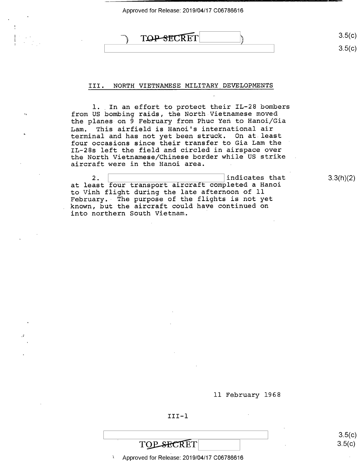### $\begin{picture}(150,10) \put(0,0){\line(1,0){100}} \put(150,0){\line(1,0){100}} \put(150,0){\line(1,0){100}} \put(150,0){\line(1,0){100}} \put(150,0){\line(1,0){100}} \put(150,0){\line(1,0){100}} \put(150,0){\line(1,0){100}} \put(150,0){\line(1,0){100}} \put(150,0){\line(1,0){100}} \put(150,0){\line(1,0){100}} \put(150,0){\$

\ \ s.5(¢)

#### III. NORTH VIETNAMESE MILITARY\_DEVELOPMENTS

1. In an effort to protect their IL-28 bombers from US bombing raids, the North Vietnamese moved the planes on 9 February from Phuc Yen to Hanoi/Gia This airfield is Hanoi's international air terminal and has not yet been struck. On at least four occasions since their transfer to Gia Lam the IL—28s left the field and circled in airspace over the North Vietnamese/Chinese border while US strike aircraft were in the Hanoi area.

2. \ \ indicates that 3\_3(h)(2) at least four transport aircraft completed a Hanoi to Vinh flight during the late afternoon of ll February. The purpose of the flights is not yet known, but the aircraft could have continued on into northern South Vietnam.

ll February 1968

III—l

Approved for Release: 2019/04/17 C06786616 -

 $\frac{1}{2}$   $\frac{5.5(k)}{2}$  $3.5(c)$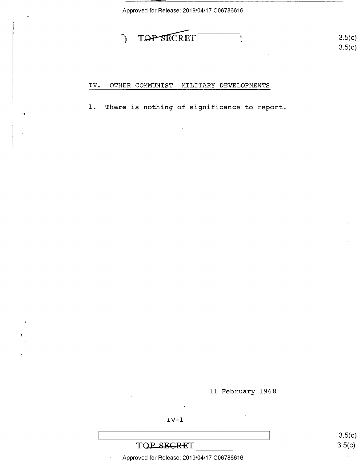TOP SECRET 3

#### IV. OTHER COMMUNIST MILITARY DEVELOPMENTS

1. There is nothing of significance to report.

ll February 1968

IV—l

- Approved for Release: 2019/04/17 C06786616

\ \ (  $3.5(c)$  $3.5(c)$ 

 $\ddot{\phantom{0}}$ 

 $3.5(c)$  $3.5 (c)$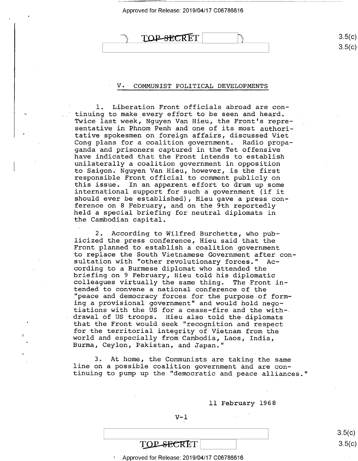#### TOP-SECRET

#### V. COMMUNIST POLITICAL DEVELOPMENTS

 $\mathbf{U}$ 

l. Liberation Front officials abroad are continuing to make every effort to be seen and heard. Twice last week, Nguyen Van Hieu, the Front's representative in Phnom Penh and one of its most authori tative spokesmen on foreign affairs, discussed Viet Cong plans for a coalition government. Radio propaganda and prisoners captured in the Tet offensive have indicated that the Front intends to establish unilaterally a coalition government in opposition<br>to Saigon. Nguyen Van Hieu, however, is the first responsible Front official to comment publicly on<br>this issue. In an apparent effort to drum up some<br>international support for such a government (if it should ever be established), Hieu gave a press conference on 8 February, and on the 9th reportedly held a special briefing for neutral diplomats in the Cambodian capital.

2. According to Wilfred Burchette, who pub-<br>licized the press conference, Hieu said that the Front planned to establish a coalition government<br>to replace the South Vietnamese Government after consultation with "other revolutionary forces." Ac-<br>cording to a Burmese diplomat who attended the briefing on 9 February, Hieu told his diplomatic<br>colleagues virtually the same thing. The Front in-<br>tended to convene a national conference of the "peace and democracy forces for the purpose of forming a provisional government" and would hold negotiations with the US for a cease-fire and the with-<br>drawal of US troops. Hieu also told the diplomats that the Front would seek "recognition and respect<br>for the territorial integrity of Vietnam from the world and especially from Cambodia, Laos, India,<br>Burma, Ceylon, Pakistan, and Japan."

3. At home, the Communists are taking the same<br>line on a possible coalition government and are con-<br>tinuing to pump up the "democratic and peace alliances."

ll February 1968

#### $V-1$

| TOP-SECRET |  |
|------------|--|

Approved for Release: 2019/04/17 C06786616

 $3.5(c)$  $3.5(c)$ 

 $\frac{1}{1}$  s.5(c)  $3.5(c)$  $3.5(c)$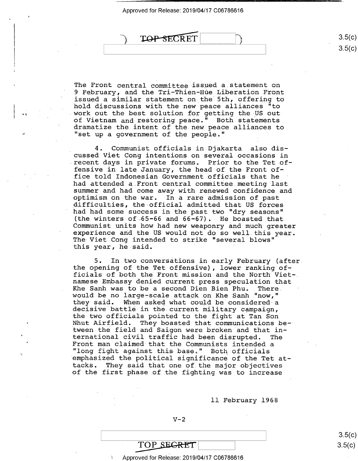

The Front central committee issued a statement on <sup>9</sup>February, and the Tri-Thien-Hue Liberation Front issued a similar statement on the 5th, offering to hold discussions with the new peace alliances "to work out the best solution for getting the US outof Vietnam and restoring peace." Both statements<br>dramatize the intent of the new peace alliances to<br>"set up a government of the people."

4. Communist officials in.Djakarta also discussed Viet Cong intentions on several occasions in recent days in private forums. Prior to the Tet offensive in late January, the head of the Front office told Indonesian Government officials that he had attended a Front central committee meeting last summer and had come away with renewed confidence and optimism on the war. In a rare admission of past difficulties, the official admitted that US forces had had some success in the past two "dry seasons"<br>(the winters of 65-66 and 66-67). He boasted that Communist units how had new weaponry and much greater experience and the US would not do so well this year. The Viet Cong intended to strike "several blows" this year, he said.

5. In two conversations in early February (afterthe opening of the Tet offensive), lower ranking officials of both the Front mission and the North Viet-. namese Embassy denied current press speculation that Khe Sanh was to be a second Dien Bien Phu. There would be no large-scale attack on Khe Sanh "now,"<br>they said. When asked what could be considered a decisive battle in the current military campaign,<br>the two officials pointed to the fight at Tan Son<br>Nhut Airfield. They boasted that communications be tween the field and Saigon were broken and that in-<br>ternational civil traffic had been disrupted. The ternational civil traffic had been disrupted. The Front man claimed that the Communists intended a "long fight against this base." Both officials<br>emphasized the political significance of the Tet at-<br>tacks. They said that one of the major objectives of the first phase of the fighting was to increase

ll February 1968

 $\frac{1}{2}$  s.5(c) TOP\_SEGRET<br>Approved for Release: 2019/04/17 C06786616<br>Approved for Release: 2019/04/17 C06786616

\_ Approved for Release: 2019/04/17 C06786616

 $V-2$ 

 $3.5(c)$  $3.5(c)$